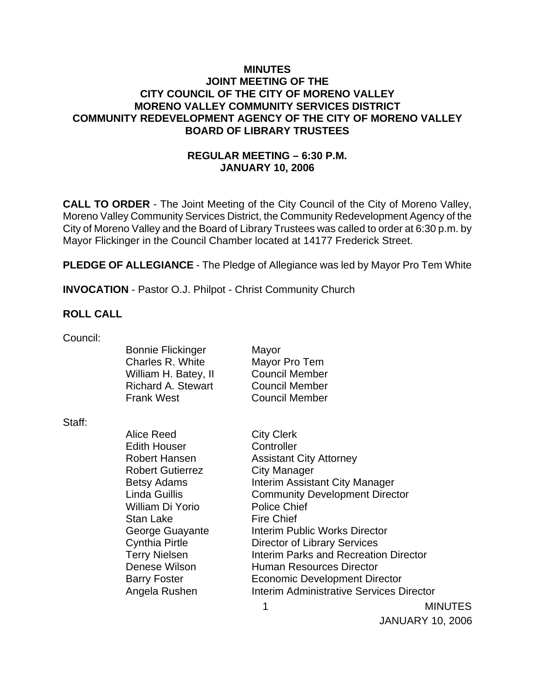### **MINUTES JOINT MEETING OF THE CITY COUNCIL OF THE CITY OF MORENO VALLEY MORENO VALLEY COMMUNITY SERVICES DISTRICT COMMUNITY REDEVELOPMENT AGENCY OF THE CITY OF MORENO VALLEY BOARD OF LIBRARY TRUSTEES**

## **REGULAR MEETING – 6:30 P.M. JANUARY 10, 2006**

**CALL TO ORDER** - The Joint Meeting of the City Council of the City of Moreno Valley, Moreno Valley Community Services District, the Community Redevelopment Agency of the City of Moreno Valley and the Board of Library Trustees was called to order at 6:30 p.m. by Mayor Flickinger in the Council Chamber located at 14177 Frederick Street.

**PLEDGE OF ALLEGIANCE** - The Pledge of Allegiance was led by Mayor Pro Tem White

**INVOCATION** - Pastor O.J. Philpot - Christ Community Church

#### **ROLL CALL**

| <b>Bonnie Flickinger</b>                       | Mayor                                                                                               |
|------------------------------------------------|-----------------------------------------------------------------------------------------------------|
| Charles R. White                               | Mayor Pro Tem                                                                                       |
| William H. Batey, II                           | <b>Council Member</b>                                                                               |
| <b>Richard A. Stewart</b><br><b>Frank West</b> | <b>Council Member</b>                                                                               |
|                                                | <b>Council Member</b>                                                                               |
|                                                |                                                                                                     |
|                                                | <b>City Clerk</b>                                                                                   |
|                                                | Controller                                                                                          |
|                                                | <b>Assistant City Attorney</b>                                                                      |
|                                                | City Manager                                                                                        |
|                                                | Interim Assistant City Manager                                                                      |
| <b>Linda Guillis</b>                           | <b>Community Development Director</b>                                                               |
| William Di Yorio                               | <b>Police Chief</b>                                                                                 |
| <b>Stan Lake</b>                               | <b>Fire Chief</b>                                                                                   |
| George Guayante                                | Interim Public Works Director                                                                       |
| <b>Cynthia Pirtle</b>                          | Director of Library Services                                                                        |
| <b>Terry Nielsen</b>                           | Interim Parks and Recreation Director                                                               |
| Denese Wilson                                  | <b>Human Resources Director</b>                                                                     |
| <b>Barry Foster</b>                            | <b>Economic Development Director</b>                                                                |
| Angela Rushen                                  | Interim Administrative Services Director                                                            |
|                                                | Alice Reed<br><b>Edith Houser</b><br>Robert Hansen<br><b>Robert Gutierrez</b><br><b>Betsy Adams</b> |

1 MINUTES

JANUARY 10, 2006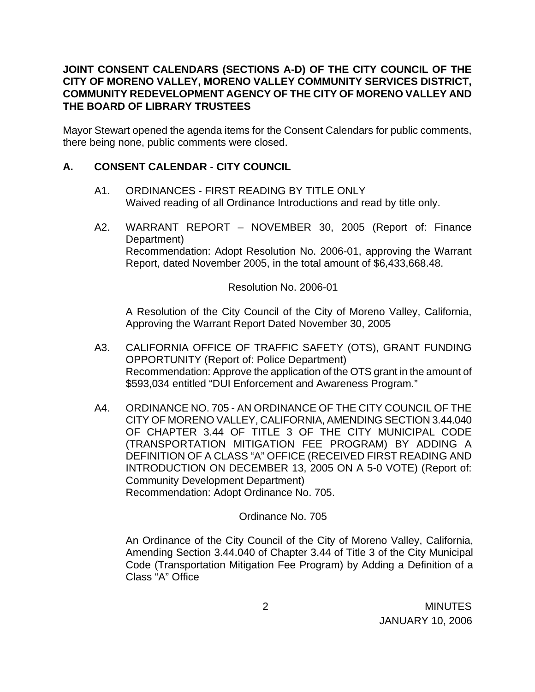## **JOINT CONSENT CALENDARS (SECTIONS A-D) OF THE CITY COUNCIL OF THE CITY OF MORENO VALLEY, MORENO VALLEY COMMUNITY SERVICES DISTRICT, COMMUNITY REDEVELOPMENT AGENCY OF THE CITY OF MORENO VALLEY AND THE BOARD OF LIBRARY TRUSTEES**

Mayor Stewart opened the agenda items for the Consent Calendars for public comments, there being none, public comments were closed.

## **A. CONSENT CALENDAR** - **CITY COUNCIL**

- A1. ORDINANCES FIRST READING BY TITLE ONLY Waived reading of all Ordinance Introductions and read by title only.
- A2. WARRANT REPORT NOVEMBER 30, 2005 (Report of: Finance Department) Recommendation: Adopt Resolution No. 2006-01, approving the Warrant Report, dated November 2005, in the total amount of \$6,433,668.48.

Resolution No. 2006-01

 A Resolution of the City Council of the City of Moreno Valley, California, Approving the Warrant Report Dated November 30, 2005

- A3. CALIFORNIA OFFICE OF TRAFFIC SAFETY (OTS), GRANT FUNDING OPPORTUNITY (Report of: Police Department) Recommendation: Approve the application of the OTS grant in the amount of \$593,034 entitled "DUI Enforcement and Awareness Program."
- A4. ORDINANCE NO. 705 AN ORDINANCE OF THE CITY COUNCIL OF THE CITY OF MORENO VALLEY, CALIFORNIA, AMENDING SECTION 3.44.040 OF CHAPTER 3.44 OF TITLE 3 OF THE CITY MUNICIPAL CODE (TRANSPORTATION MITIGATION FEE PROGRAM) BY ADDING A DEFINITION OF A CLASS "A" OFFICE (RECEIVED FIRST READING AND INTRODUCTION ON DECEMBER 13, 2005 ON A 5-0 VOTE) (Report of: Community Development Department) Recommendation: Adopt Ordinance No. 705.

### Ordinance No. 705

An Ordinance of the City Council of the City of Moreno Valley, California, Amending Section 3.44.040 of Chapter 3.44 of Title 3 of the City Municipal Code (Transportation Mitigation Fee Program) by Adding a Definition of a Class "A" Office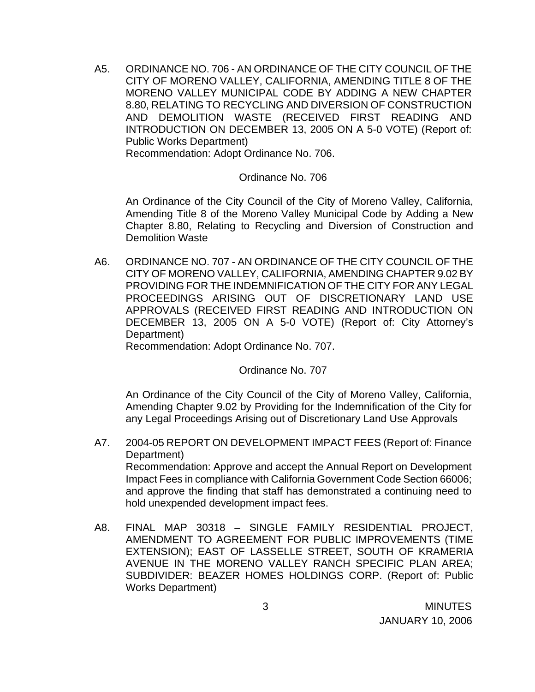A5. ORDINANCE NO. 706 - AN ORDINANCE OF THE CITY COUNCIL OF THE CITY OF MORENO VALLEY, CALIFORNIA, AMENDING TITLE 8 OF THE MORENO VALLEY MUNICIPAL CODE BY ADDING A NEW CHAPTER 8.80, RELATING TO RECYCLING AND DIVERSION OF CONSTRUCTION AND DEMOLITION WASTE (RECEIVED FIRST READING AND INTRODUCTION ON DECEMBER 13, 2005 ON A 5-0 VOTE) (Report of: Public Works Department)

Recommendation: Adopt Ordinance No. 706.

#### Ordinance No. 706

An Ordinance of the City Council of the City of Moreno Valley, California, Amending Title 8 of the Moreno Valley Municipal Code by Adding a New Chapter 8.80, Relating to Recycling and Diversion of Construction and Demolition Waste

A6. ORDINANCE NO. 707 - AN ORDINANCE OF THE CITY COUNCIL OF THE CITY OF MORENO VALLEY, CALIFORNIA, AMENDING CHAPTER 9.02 BY PROVIDING FOR THE INDEMNIFICATION OF THE CITY FOR ANY LEGAL PROCEEDINGS ARISING OUT OF DISCRETIONARY LAND USE APPROVALS (RECEIVED FIRST READING AND INTRODUCTION ON DECEMBER 13, 2005 ON A 5-0 VOTE) (Report of: City Attorney's Department)

Recommendation: Adopt Ordinance No. 707.

Ordinance No. 707

 An Ordinance of the City Council of the City of Moreno Valley, California, Amending Chapter 9.02 by Providing for the Indemnification of the City for any Legal Proceedings Arising out of Discretionary Land Use Approvals

- A7. 2004-05 REPORT ON DEVELOPMENT IMPACT FEES (Report of: Finance Department) Recommendation: Approve and accept the Annual Report on Development Impact Fees in compliance with California Government Code Section 66006; and approve the finding that staff has demonstrated a continuing need to hold unexpended development impact fees.
- A8. FINAL MAP 30318 SINGLE FAMILY RESIDENTIAL PROJECT, AMENDMENT TO AGREEMENT FOR PUBLIC IMPROVEMENTS (TIME EXTENSION); EAST OF LASSELLE STREET, SOUTH OF KRAMERIA AVENUE IN THE MORENO VALLEY RANCH SPECIFIC PLAN AREA; SUBDIVIDER: BEAZER HOMES HOLDINGS CORP. (Report of: Public Works Department)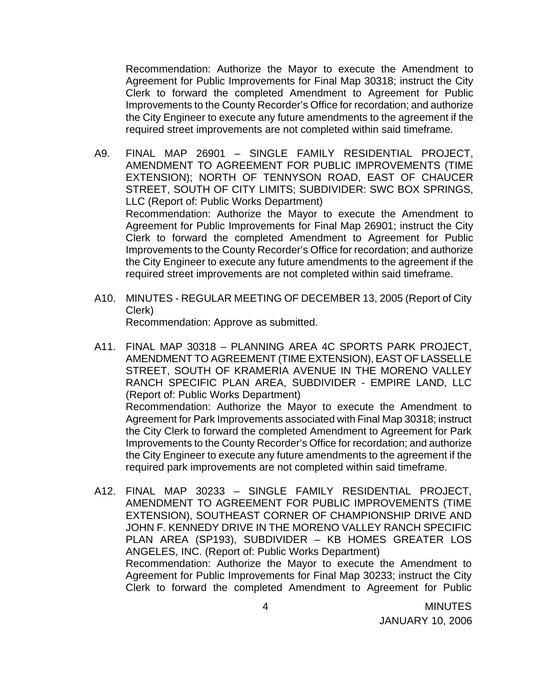Recommendation: Authorize the Mayor to execute the Amendment to Agreement for Public Improvements for Final Map 30318; instruct the City Clerk to forward the completed Amendment to Agreement for Public Improvements to the County Recorder's Office for recordation; and authorize the City Engineer to execute any future amendments to the agreement if the required street improvements are not completed within said timeframe.

- A9. FINAL MAP 26901 SINGLE FAMILY RESIDENTIAL PROJECT, AMENDMENT TO AGREEMENT FOR PUBLIC IMPROVEMENTS (TIME EXTENSION); NORTH OF TENNYSON ROAD, EAST OF CHAUCER STREET, SOUTH OF CITY LIMITS; SUBDIVIDER: SWC BOX SPRINGS, LLC (Report of: Public Works Department) Recommendation: Authorize the Mayor to execute the Amendment to Agreement for Public Improvements for Final Map 26901; instruct the City Clerk to forward the completed Amendment to Agreement for Public Improvements to the County Recorder's Office for recordation; and authorize the City Engineer to execute any future amendments to the agreement if the required street improvements are not completed within said timeframe.
- A10. MINUTES REGULAR MEETING OF DECEMBER 13, 2005 (Report of City Clerk) Recommendation: Approve as submitted.
- A11. FINAL MAP 30318 PLANNING AREA 4C SPORTS PARK PROJECT, AMENDMENT TO AGREEMENT (TIME EXTENSION), EAST OF LASSELLE STREET, SOUTH OF KRAMERIA AVENUE IN THE MORENO VALLEY RANCH SPECIFIC PLAN AREA, SUBDIVIDER - EMPIRE LAND, LLC (Report of: Public Works Department) Recommendation: Authorize the Mayor to execute the Amendment to Agreement for Park Improvements associated with Final Map 30318; instruct the City Clerk to forward the completed Amendment to Agreement for Park Improvements to the County Recorder's Office for recordation; and authorize the City Engineer to execute any future amendments to the agreement if the

required park improvements are not completed within said timeframe.

A12. FINAL MAP 30233 – SINGLE FAMILY RESIDENTIAL PROJECT, AMENDMENT TO AGREEMENT FOR PUBLIC IMPROVEMENTS (TIME EXTENSION), SOUTHEAST CORNER OF CHAMPIONSHIP DRIVE AND JOHN F. KENNEDY DRIVE IN THE MORENO VALLEY RANCH SPECIFIC PLAN AREA (SP193), SUBDIVIDER – KB HOMES GREATER LOS ANGELES, INC. (Report of: Public Works Department) Recommendation: Authorize the Mayor to execute the Amendment to Agreement for Public Improvements for Final Map 30233; instruct the City Clerk to forward the completed Amendment to Agreement for Public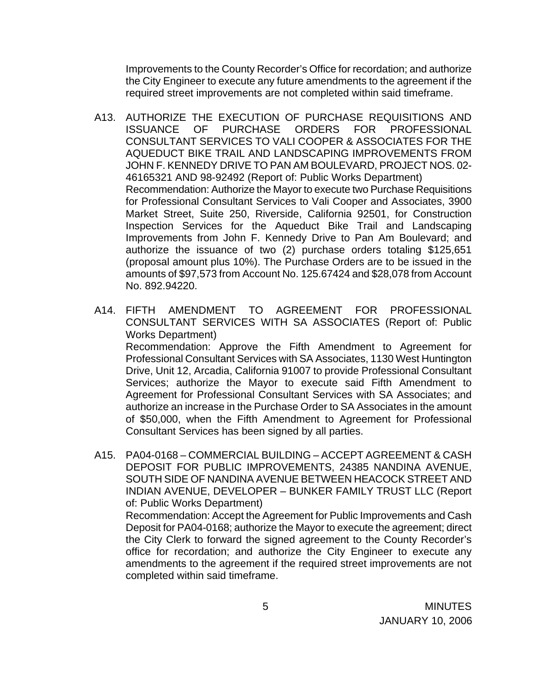Improvements to the County Recorder's Office for recordation; and authorize the City Engineer to execute any future amendments to the agreement if the required street improvements are not completed within said timeframe.

- A13. AUTHORIZE THE EXECUTION OF PURCHASE REQUISITIONS AND ISSUANCE OF PURCHASE ORDERS FOR PROFESSIONAL CONSULTANT SERVICES TO VALI COOPER & ASSOCIATES FOR THE AQUEDUCT BIKE TRAIL AND LANDSCAPING IMPROVEMENTS FROM JOHN F. KENNEDY DRIVE TO PAN AM BOULEVARD, PROJECT NOS. 02- 46165321 AND 98-92492 (Report of: Public Works Department) Recommendation: Authorize the Mayor to execute two Purchase Requisitions for Professional Consultant Services to Vali Cooper and Associates, 3900 Market Street, Suite 250, Riverside, California 92501, for Construction Inspection Services for the Aqueduct Bike Trail and Landscaping Improvements from John F. Kennedy Drive to Pan Am Boulevard; and authorize the issuance of two (2) purchase orders totaling \$125,651 (proposal amount plus 10%). The Purchase Orders are to be issued in the amounts of \$97,573 from Account No. 125.67424 and \$28,078 from Account No. 892.94220.
- A14. FIFTH AMENDMENT TO AGREEMENT FOR PROFESSIONAL CONSULTANT SERVICES WITH SA ASSOCIATES (Report of: Public Works Department) Recommendation: Approve the Fifth Amendment to Agreement for Professional Consultant Services with SA Associates, 1130 West Huntington Drive, Unit 12, Arcadia, California 91007 to provide Professional Consultant Services; authorize the Mayor to execute said Fifth Amendment to Agreement for Professional Consultant Services with SA Associates; and authorize an increase in the Purchase Order to SA Associates in the amount of \$50,000, when the Fifth Amendment to Agreement for Professional Consultant Services has been signed by all parties.
- A15. PA04-0168 COMMERCIAL BUILDING ACCEPT AGREEMENT & CASH DEPOSIT FOR PUBLIC IMPROVEMENTS, 24385 NANDINA AVENUE, SOUTH SIDE OF NANDINA AVENUE BETWEEN HEACOCK STREET AND INDIAN AVENUE, DEVELOPER – BUNKER FAMILY TRUST LLC (Report of: Public Works Department) Recommendation: Accept the Agreement for Public Improvements and Cash Deposit for PA04-0168; authorize the Mayor to execute the agreement; direct the City Clerk to forward the signed agreement to the County Recorder's office for recordation; and authorize the City Engineer to execute any

amendments to the agreement if the required street improvements are not

completed within said timeframe.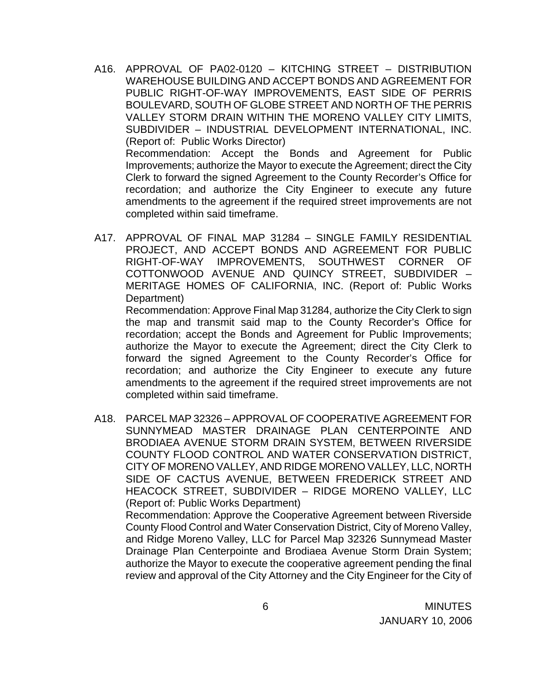A16. APPROVAL OF PA02-0120 – KITCHING STREET – DISTRIBUTION WAREHOUSE BUILDING AND ACCEPT BONDS AND AGREEMENT FOR PUBLIC RIGHT-OF-WAY IMPROVEMENTS, EAST SIDE OF PERRIS BOULEVARD, SOUTH OF GLOBE STREET AND NORTH OF THE PERRIS VALLEY STORM DRAIN WITHIN THE MORENO VALLEY CITY LIMITS, SUBDIVIDER – INDUSTRIAL DEVELOPMENT INTERNATIONAL, INC. (Report of: Public Works Director) Recommendation: Accept the Bonds and Agreement for Public Improvements; authorize the Mayor to execute the Agreement; direct the City Clerk to forward the signed Agreement to the County Recorder's Office for

recordation; and authorize the City Engineer to execute any future amendments to the agreement if the required street improvements are not completed within said timeframe.

A17. APPROVAL OF FINAL MAP 31284 – SINGLE FAMILY RESIDENTIAL PROJECT, AND ACCEPT BONDS AND AGREEMENT FOR PUBLIC RIGHT-OF-WAY IMPROVEMENTS, SOUTHWEST CORNER OF COTTONWOOD AVENUE AND QUINCY STREET, SUBDIVIDER – MERITAGE HOMES OF CALIFORNIA, INC. (Report of: Public Works Department)

 Recommendation: Approve Final Map 31284, authorize the City Clerk to sign the map and transmit said map to the County Recorder's Office for recordation; accept the Bonds and Agreement for Public Improvements; authorize the Mayor to execute the Agreement; direct the City Clerk to forward the signed Agreement to the County Recorder's Office for recordation; and authorize the City Engineer to execute any future amendments to the agreement if the required street improvements are not completed within said timeframe.

A18. PARCEL MAP 32326 – APPROVAL OF COOPERATIVE AGREEMENT FOR SUNNYMEAD MASTER DRAINAGE PLAN CENTERPOINTE AND BRODIAEA AVENUE STORM DRAIN SYSTEM, BETWEEN RIVERSIDE COUNTY FLOOD CONTROL AND WATER CONSERVATION DISTRICT, CITY OF MORENO VALLEY, AND RIDGE MORENO VALLEY, LLC, NORTH SIDE OF CACTUS AVENUE, BETWEEN FREDERICK STREET AND HEACOCK STREET, SUBDIVIDER – RIDGE MORENO VALLEY, LLC (Report of: Public Works Department)

 Recommendation: Approve the Cooperative Agreement between Riverside County Flood Control and Water Conservation District, City of Moreno Valley, and Ridge Moreno Valley, LLC for Parcel Map 32326 Sunnymead Master Drainage Plan Centerpointe and Brodiaea Avenue Storm Drain System; authorize the Mayor to execute the cooperative agreement pending the final review and approval of the City Attorney and the City Engineer for the City of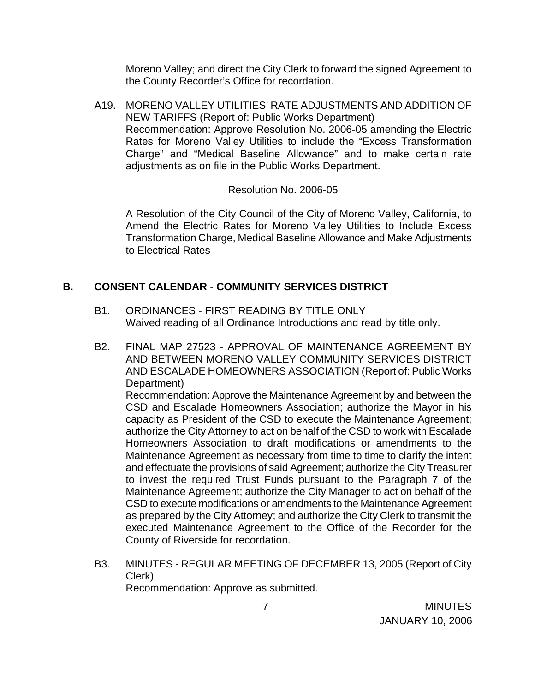Moreno Valley; and direct the City Clerk to forward the signed Agreement to the County Recorder's Office for recordation.

A19. MORENO VALLEY UTILITIES' RATE ADJUSTMENTS AND ADDITION OF NEW TARIFFS (Report of: Public Works Department) Recommendation: Approve Resolution No. 2006-05 amending the Electric Rates for Moreno Valley Utilities to include the "Excess Transformation Charge" and "Medical Baseline Allowance" and to make certain rate adjustments as on file in the Public Works Department.

### Resolution No. 2006-05

A Resolution of the City Council of the City of Moreno Valley, California, to Amend the Electric Rates for Moreno Valley Utilities to Include Excess Transformation Charge, Medical Baseline Allowance and Make Adjustments to Electrical Rates

## **B. CONSENT CALENDAR** - **COMMUNITY SERVICES DISTRICT**

- B1. ORDINANCES FIRST READING BY TITLE ONLY Waived reading of all Ordinance Introductions and read by title only.
- B2. FINAL MAP 27523 APPROVAL OF MAINTENANCE AGREEMENT BY AND BETWEEN MORENO VALLEY COMMUNITY SERVICES DISTRICT AND ESCALADE HOMEOWNERS ASSOCIATION (Report of: Public Works Department)

 Recommendation: Approve the Maintenance Agreement by and between the CSD and Escalade Homeowners Association; authorize the Mayor in his capacity as President of the CSD to execute the Maintenance Agreement; authorize the City Attorney to act on behalf of the CSD to work with Escalade Homeowners Association to draft modifications or amendments to the Maintenance Agreement as necessary from time to time to clarify the intent and effectuate the provisions of said Agreement; authorize the City Treasurer to invest the required Trust Funds pursuant to the Paragraph 7 of the Maintenance Agreement; authorize the City Manager to act on behalf of the CSD to execute modifications or amendments to the Maintenance Agreement as prepared by the City Attorney; and authorize the City Clerk to transmit the executed Maintenance Agreement to the Office of the Recorder for the County of Riverside for recordation.

B3. MINUTES - REGULAR MEETING OF DECEMBER 13, 2005 (Report of City Clerk)

Recommendation: Approve as submitted.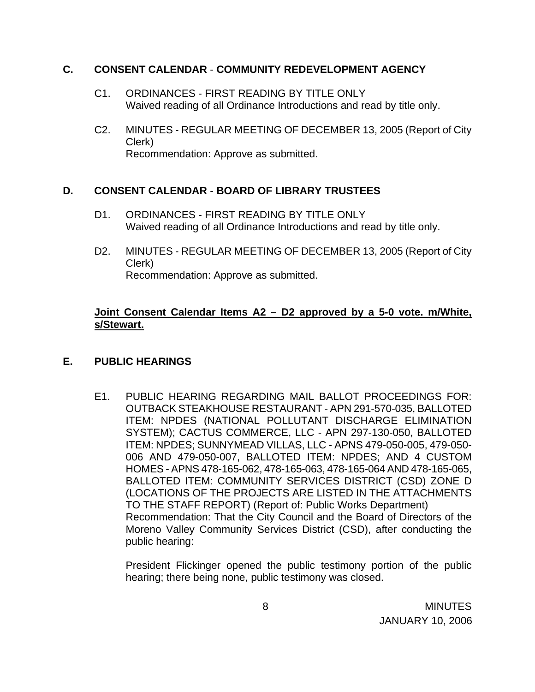### **C. CONSENT CALENDAR** - **COMMUNITY REDEVELOPMENT AGENCY**

- C1. ORDINANCES FIRST READING BY TITLE ONLY Waived reading of all Ordinance Introductions and read by title only.
- C2. MINUTES REGULAR MEETING OF DECEMBER 13, 2005 (Report of City Clerk) Recommendation: Approve as submitted.

# **D. CONSENT CALENDAR** - **BOARD OF LIBRARY TRUSTEES**

- D1. ORDINANCES FIRST READING BY TITLE ONLY Waived reading of all Ordinance Introductions and read by title only.
- D2. MINUTES REGULAR MEETING OF DECEMBER 13, 2005 (Report of City Clerk) Recommendation: Approve as submitted.

## **Joint Consent Calendar Items A2 – D2 approved by a 5-0 vote. m/White, s/Stewart.**

# **E. PUBLIC HEARINGS**

E1. PUBLIC HEARING REGARDING MAIL BALLOT PROCEEDINGS FOR: OUTBACK STEAKHOUSE RESTAURANT - APN 291-570-035, BALLOTED ITEM: NPDES (NATIONAL POLLUTANT DISCHARGE ELIMINATION SYSTEM); CACTUS COMMERCE, LLC - APN 297-130-050, BALLOTED ITEM: NPDES; SUNNYMEAD VILLAS, LLC - APNS 479-050-005, 479-050- 006 AND 479-050-007, BALLOTED ITEM: NPDES; AND 4 CUSTOM HOMES - APNS 478-165-062, 478-165-063, 478-165-064 AND 478-165-065, BALLOTED ITEM: COMMUNITY SERVICES DISTRICT (CSD) ZONE D (LOCATIONS OF THE PROJECTS ARE LISTED IN THE ATTACHMENTS TO THE STAFF REPORT) (Report of: Public Works Department) Recommendation: That the City Council and the Board of Directors of the Moreno Valley Community Services District (CSD), after conducting the public hearing:

 President Flickinger opened the public testimony portion of the public hearing; there being none, public testimony was closed.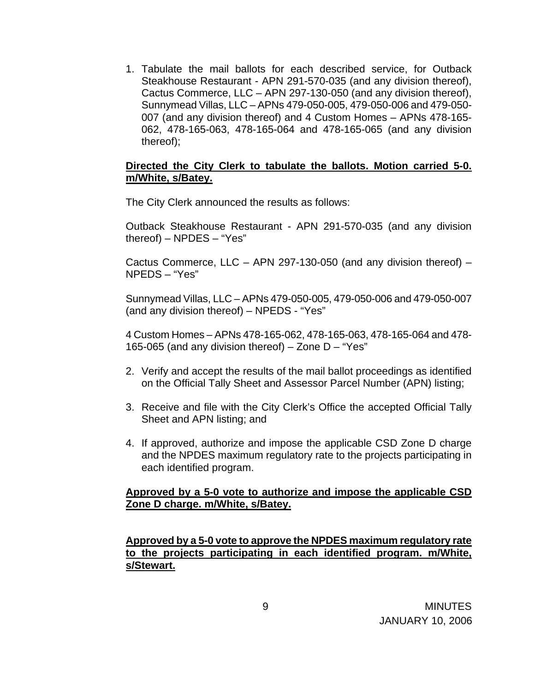1. Tabulate the mail ballots for each described service, for Outback Steakhouse Restaurant - APN 291-570-035 (and any division thereof), Cactus Commerce, LLC – APN 297-130-050 (and any division thereof), Sunnymead Villas, LLC – APNs 479-050-005, 479-050-006 and 479-050- 007 (and any division thereof) and 4 Custom Homes – APNs 478-165- 062, 478-165-063, 478-165-064 and 478-165-065 (and any division thereof);

#### **Directed the City Clerk to tabulate the ballots. Motion carried 5-0. m/White, s/Batey.**

The City Clerk announced the results as follows:

 Outback Steakhouse Restaurant - APN 291-570-035 (and any division thereof) – NPDES – "Yes"

Cactus Commerce, LLC – APN 297-130-050 (and any division thereof) – NPEDS – "Yes"

 Sunnymead Villas, LLC – APNs 479-050-005, 479-050-006 and 479-050-007 (and any division thereof) – NPEDS - "Yes"

4 Custom Homes – APNs 478-165-062, 478-165-063, 478-165-064 and 478- 165-065 (and any division thereof) – Zone D – "Yes"

- 2. Verify and accept the results of the mail ballot proceedings as identified on the Official Tally Sheet and Assessor Parcel Number (APN) listing;
- 3. Receive and file with the City Clerk's Office the accepted Official Tally Sheet and APN listing; and
- 4. If approved, authorize and impose the applicable CSD Zone D charge and the NPDES maximum regulatory rate to the projects participating in each identified program.

### **Approved by a 5-0 vote to authorize and impose the applicable CSD Zone D charge. m/White, s/Batey.**

**Approved by a 5-0 vote to approve the NPDES maximum regulatory rate to the projects participating in each identified program. m/White, s/Stewart.**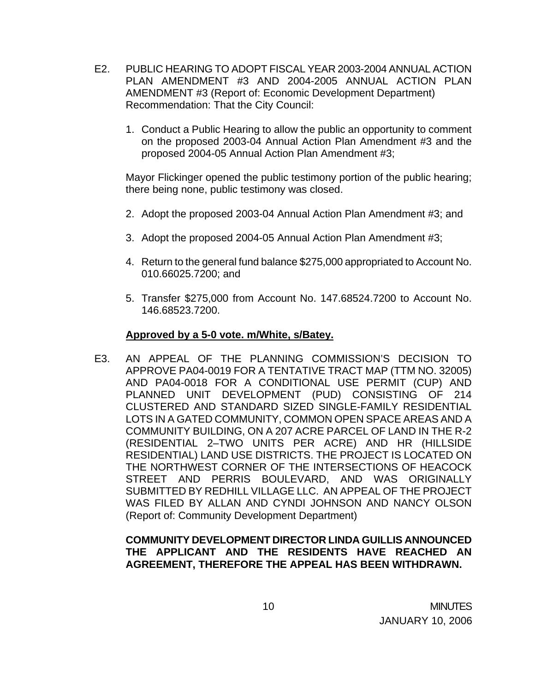- E2. PUBLIC HEARING TO ADOPT FISCAL YEAR 2003-2004 ANNUAL ACTION PLAN AMENDMENT #3 AND 2004-2005 ANNUAL ACTION PLAN AMENDMENT #3 (Report of: Economic Development Department) Recommendation: That the City Council:
	- 1. Conduct a Public Hearing to allow the public an opportunity to comment on the proposed 2003-04 Annual Action Plan Amendment #3 and the proposed 2004-05 Annual Action Plan Amendment #3;

 Mayor Flickinger opened the public testimony portion of the public hearing; there being none, public testimony was closed.

- 2. Adopt the proposed 2003-04 Annual Action Plan Amendment #3; and
- 3. Adopt the proposed 2004-05 Annual Action Plan Amendment #3;
- 4. Return to the general fund balance \$275,000 appropriated to Account No. 010.66025.7200; and
- 5. Transfer \$275,000 from Account No. 147.68524.7200 to Account No. 146.68523.7200.

## **Approved by a 5-0 vote. m/White, s/Batey.**

E3. AN APPEAL OF THE PLANNING COMMISSION'S DECISION TO APPROVE PA04-0019 FOR A TENTATIVE TRACT MAP (TTM NO. 32005) AND PA04-0018 FOR A CONDITIONAL USE PERMIT (CUP) AND PLANNED UNIT DEVELOPMENT (PUD) CONSISTING OF 214 CLUSTERED AND STANDARD SIZED SINGLE-FAMILY RESIDENTIAL LOTS IN A GATED COMMUNITY, COMMON OPEN SPACE AREAS AND A COMMUNITY BUILDING, ON A 207 ACRE PARCEL OF LAND IN THE R-2 (RESIDENTIAL 2–TWO UNITS PER ACRE) AND HR (HILLSIDE RESIDENTIAL) LAND USE DISTRICTS. THE PROJECT IS LOCATED ON THE NORTHWEST CORNER OF THE INTERSECTIONS OF HEACOCK STREET AND PERRIS BOULEVARD, AND WAS ORIGINALLY SUBMITTED BY REDHILL VILLAGE LLC. AN APPEAL OF THE PROJECT WAS FILED BY ALLAN AND CYNDI JOHNSON AND NANCY OLSON (Report of: Community Development Department)

# **COMMUNITY DEVELOPMENT DIRECTOR LINDA GUILLIS ANNOUNCED THE APPLICANT AND THE RESIDENTS HAVE REACHED AN AGREEMENT, THEREFORE THE APPEAL HAS BEEN WITHDRAWN.**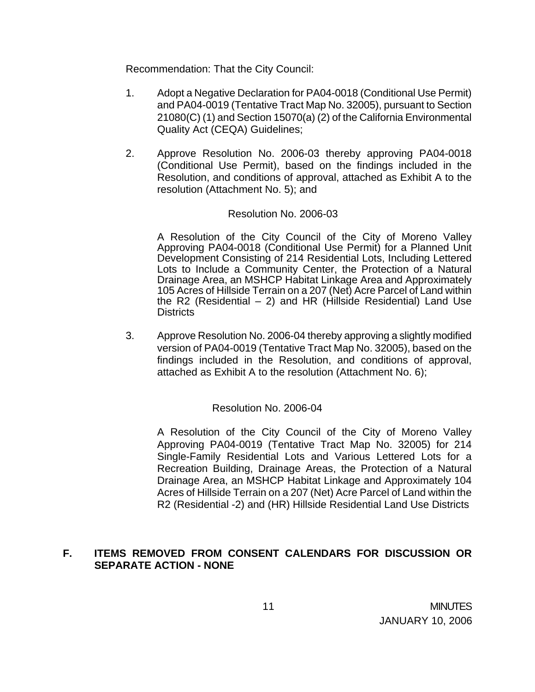Recommendation: That the City Council:

- 1. Adopt a Negative Declaration for PA04-0018 (Conditional Use Permit) and PA04-0019 (Tentative Tract Map No. 32005), pursuant to Section 21080(C) (1) and Section 15070(a) (2) of the California Environmental Quality Act (CEQA) Guidelines;
- 2. Approve Resolution No. 2006-03 thereby approving PA04-0018 (Conditional Use Permit), based on the findings included in the Resolution, and conditions of approval, attached as Exhibit A to the resolution (Attachment No. 5); and

#### Resolution No. 2006-03

A Resolution of the City Council of the City of Moreno Valley Approving PA04-0018 (Conditional Use Permit) for a Planned Unit Development Consisting of 214 Residential Lots, Including Lettered Lots to Include a Community Center, the Protection of a Natural Drainage Area, an MSHCP Habitat Linkage Area and Approximately 105 Acres of Hillside Terrain on a 207 (Net) Acre Parcel of Land within the R2 (Residential  $-$  2) and HR (Hillside Residential) Land Use **Districts** 

3. Approve Resolution No. 2006-04 thereby approving a slightly modified version of PA04-0019 (Tentative Tract Map No. 32005), based on the findings included in the Resolution, and conditions of approval, attached as Exhibit A to the resolution (Attachment No. 6);

### Resolution No. 2006-04

A Resolution of the City Council of the City of Moreno Valley Approving PA04-0019 (Tentative Tract Map No. 32005) for 214 Single-Family Residential Lots and Various Lettered Lots for a Recreation Building, Drainage Areas, the Protection of a Natural Drainage Area, an MSHCP Habitat Linkage and Approximately 104 Acres of Hillside Terrain on a 207 (Net) Acre Parcel of Land within the R2 (Residential -2) and (HR) Hillside Residential Land Use Districts

### **F. ITEMS REMOVED FROM CONSENT CALENDARS FOR DISCUSSION OR SEPARATE ACTION - NONE**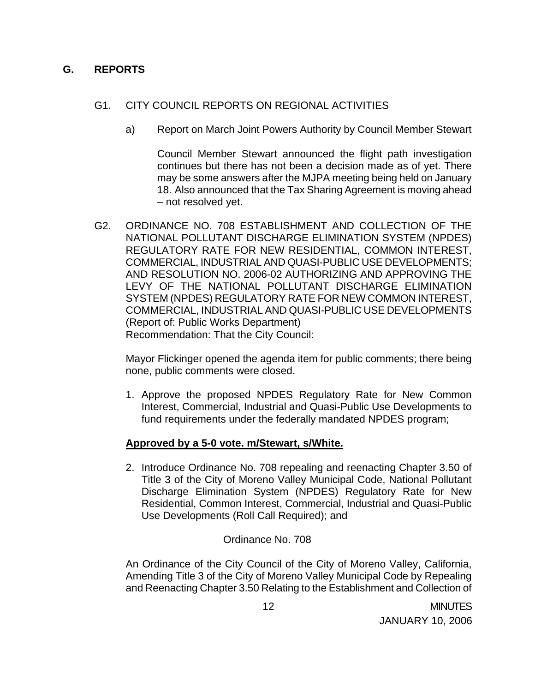## **G. REPORTS**

### G1. CITY COUNCIL REPORTS ON REGIONAL ACTIVITIES

a) Report on March Joint Powers Authority by Council Member Stewart

 Council Member Stewart announced the flight path investigation continues but there has not been a decision made as of yet. There may be some answers after the MJPA meeting being held on January 18. Also announced that the Tax Sharing Agreement is moving ahead – not resolved yet.

G2. ORDINANCE NO. 708 ESTABLISHMENT AND COLLECTION OF THE NATIONAL POLLUTANT DISCHARGE ELIMINATION SYSTEM (NPDES) REGULATORY RATE FOR NEW RESIDENTIAL, COMMON INTEREST, COMMERCIAL, INDUSTRIAL AND QUASI-PUBLIC USE DEVELOPMENTS; AND RESOLUTION NO. 2006-02 AUTHORIZING AND APPROVING THE LEVY OF THE NATIONAL POLLUTANT DISCHARGE ELIMINATION SYSTEM (NPDES) REGULATORY RATE FOR NEW COMMON INTEREST, COMMERCIAL, INDUSTRIAL AND QUASI-PUBLIC USE DEVELOPMENTS (Report of: Public Works Department) Recommendation: That the City Council:

 Mayor Flickinger opened the agenda item for public comments; there being none, public comments were closed.

1. Approve the proposed NPDES Regulatory Rate for New Common Interest, Commercial, Industrial and Quasi-Public Use Developments to fund requirements under the federally mandated NPDES program;

### **Approved by a 5-0 vote. m/Stewart, s/White.**

2. Introduce Ordinance No. 708 repealing and reenacting Chapter 3.50 of Title 3 of the City of Moreno Valley Municipal Code, National Pollutant Discharge Elimination System (NPDES) Regulatory Rate for New Residential, Common Interest, Commercial, Industrial and Quasi-Public Use Developments (Roll Call Required); and

### Ordinance No. 708

An Ordinance of the City Council of the City of Moreno Valley, California, Amending Title 3 of the City of Moreno Valley Municipal Code by Repealing and Reenacting Chapter 3.50 Relating to the Establishment and Collection of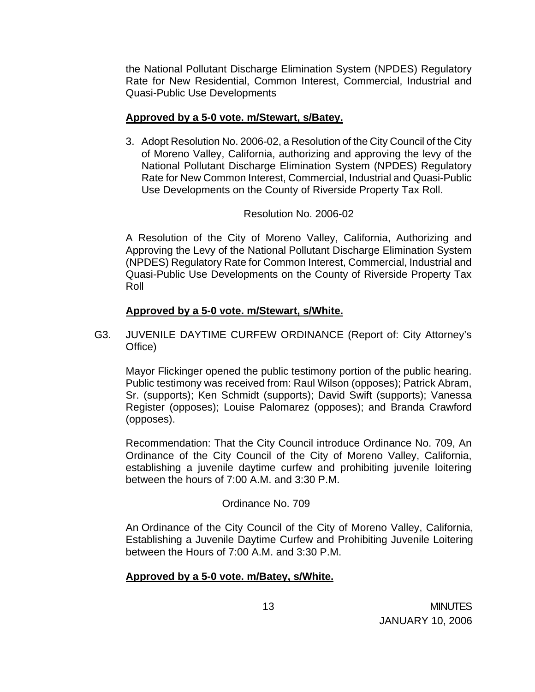the National Pollutant Discharge Elimination System (NPDES) Regulatory Rate for New Residential, Common Interest, Commercial, Industrial and Quasi-Public Use Developments

### **Approved by a 5-0 vote. m/Stewart, s/Batey.**

3. Adopt Resolution No. 2006-02, a Resolution of the City Council of the City of Moreno Valley, California, authorizing and approving the levy of the National Pollutant Discharge Elimination System (NPDES) Regulatory Rate for New Common Interest, Commercial, Industrial and Quasi-Public Use Developments on the County of Riverside Property Tax Roll.

### Resolution No. 2006-02

A Resolution of the City of Moreno Valley, California, Authorizing and Approving the Levy of the National Pollutant Discharge Elimination System (NPDES) Regulatory Rate for Common Interest, Commercial, Industrial and Quasi-Public Use Developments on the County of Riverside Property Tax Roll

#### **Approved by a 5-0 vote. m/Stewart, s/White.**

G3. JUVENILE DAYTIME CURFEW ORDINANCE (Report of: City Attorney's Office)

Mayor Flickinger opened the public testimony portion of the public hearing. Public testimony was received from: Raul Wilson (opposes); Patrick Abram, Sr. (supports); Ken Schmidt (supports); David Swift (supports); Vanessa Register (opposes); Louise Palomarez (opposes); and Branda Crawford (opposes).

 Recommendation: That the City Council introduce Ordinance No. 709, An Ordinance of the City Council of the City of Moreno Valley, California, establishing a juvenile daytime curfew and prohibiting juvenile loitering between the hours of 7:00 A.M. and 3:30 P.M.

### Ordinance No. 709

 An Ordinance of the City Council of the City of Moreno Valley, California, Establishing a Juvenile Daytime Curfew and Prohibiting Juvenile Loitering between the Hours of 7:00 A.M. and 3:30 P.M.

### **Approved by a 5-0 vote. m/Batey, s/White.**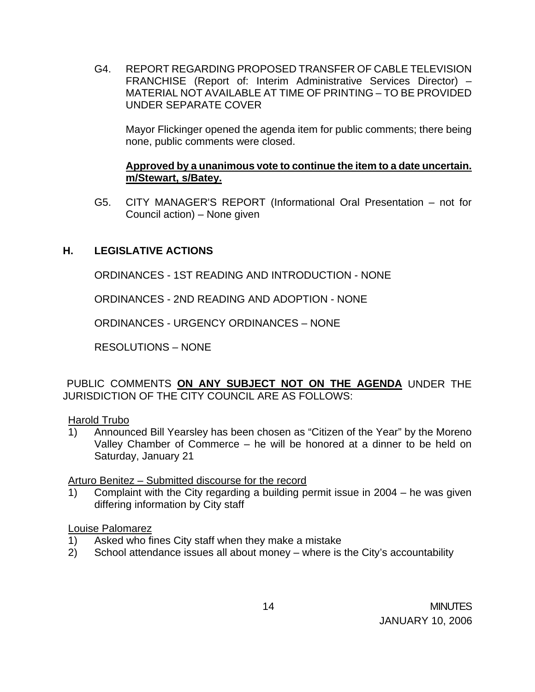G4. REPORT REGARDING PROPOSED TRANSFER OF CABLE TELEVISION FRANCHISE (Report of: Interim Administrative Services Director) – MATERIAL NOT AVAILABLE AT TIME OF PRINTING – TO BE PROVIDED UNDER SEPARATE COVER

Mayor Flickinger opened the agenda item for public comments; there being none, public comments were closed.

### **Approved by a unanimous vote to continue the item to a date uncertain. m/Stewart, s/Batey.**

G5. CITY MANAGER'S REPORT (Informational Oral Presentation – not for Council action) – None given

## **H. LEGISLATIVE ACTIONS**

ORDINANCES - 1ST READING AND INTRODUCTION - NONE

ORDINANCES - 2ND READING AND ADOPTION - NONE

ORDINANCES - URGENCY ORDINANCES – NONE

RESOLUTIONS – NONE

PUBLIC COMMENTS **ON ANY SUBJECT NOT ON THE AGENDA** UNDER THE JURISDICTION OF THE CITY COUNCIL ARE AS FOLLOWS:

#### Harold Trubo

1) Announced Bill Yearsley has been chosen as "Citizen of the Year" by the Moreno Valley Chamber of Commerce – he will be honored at a dinner to be held on Saturday, January 21

Arturo Benitez – Submitted discourse for the record

1) Complaint with the City regarding a building permit issue in 2004 – he was given differing information by City staff

### Louise Palomarez

- 1) Asked who fines City staff when they make a mistake
- 2) School attendance issues all about money where is the City's accountability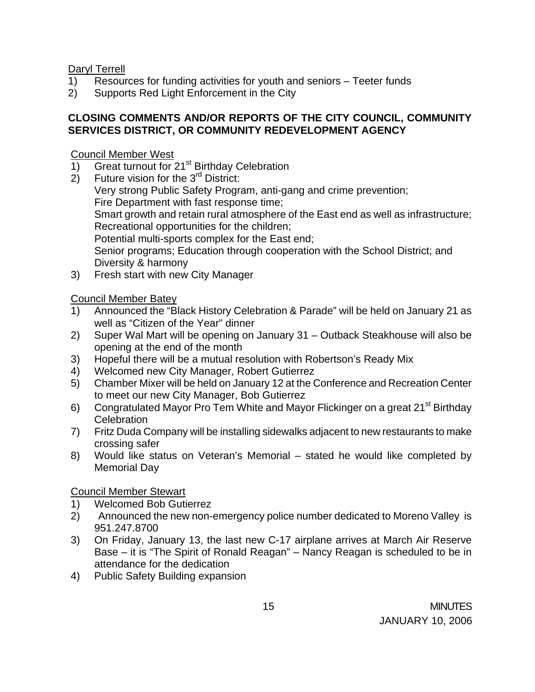Daryl Terrell

- 1) Resources for funding activities for youth and seniors Teeter funds
- 2) Supports Red Light Enforcement in the City

# **CLOSING COMMENTS AND/OR REPORTS OF THE CITY COUNCIL, COMMUNITY SERVICES DISTRICT, OR COMMUNITY REDEVELOPMENT AGENCY**

Council Member West

- 1) Great turnout for 21<sup>st</sup> Birthday Celebration
- 2) Future vision for the  $3<sup>rd</sup>$  District: Very strong Public Safety Program, anti-gang and crime prevention; Fire Department with fast response time; Smart growth and retain rural atmosphere of the East end as well as infrastructure; Recreational opportunities for the children; Potential multi-sports complex for the East end; Senior programs; Education through cooperation with the School District; and Diversity & harmony
- 3) Fresh start with new City Manager

Council Member Batey

- 1) Announced the "Black History Celebration & Parade" will be held on January 21 as well as "Citizen of the Year" dinner
- 2) Super Wal Mart will be opening on January 31 Outback Steakhouse will also be opening at the end of the month
- 3) Hopeful there will be a mutual resolution with Robertson's Ready Mix
- 4) Welcomed new City Manager, Robert Gutierrez
- 5) Chamber Mixer will be held on January 12 at the Conference and Recreation Center to meet our new City Manager, Bob Gutierrez
- 6) Congratulated Mayor Pro Tem White and Mayor Flickinger on a great 21<sup>st</sup> Birthday **Celebration**
- 7) Fritz Duda Company will be installing sidewalks adjacent to new restaurants to make crossing safer
- 8) Would like status on Veteran's Memorial stated he would like completed by Memorial Day

Council Member Stewart

- 1) Welcomed Bob Gutierrez
- 2) Announced the new non-emergency police number dedicated to Moreno Valley is 951.247.8700
- 3) On Friday, January 13, the last new C-17 airplane arrives at March Air Reserve Base – it is "The Spirit of Ronald Reagan" – Nancy Reagan is scheduled to be in attendance for the dedication
- 4) Public Safety Building expansion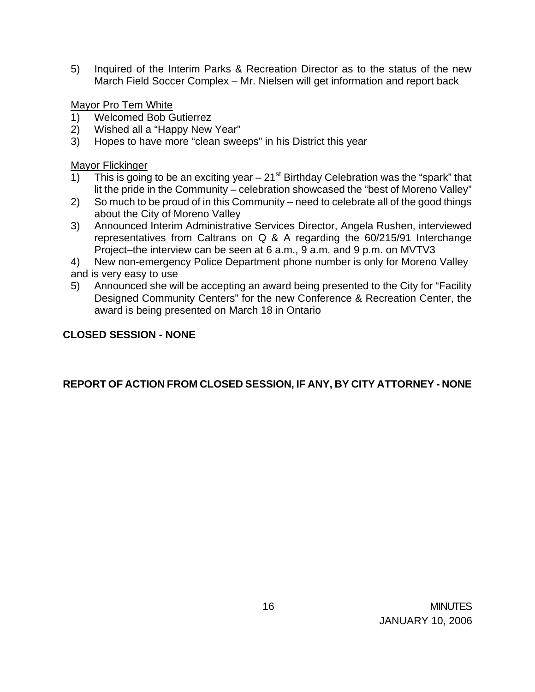5) Inquired of the Interim Parks & Recreation Director as to the status of the new March Field Soccer Complex – Mr. Nielsen will get information and report back

Mayor Pro Tem White

- 1) Welcomed Bob Gutierrez
- 2) Wished all a "Happy New Year"
- 3) Hopes to have more "clean sweeps" in his District this year

Mayor Flickinger

- 1) This is going to be an exciting year  $-21^{st}$  Birthday Celebration was the "spark" that lit the pride in the Community – celebration showcased the "best of Moreno Valley"
- 2) So much to be proud of in this Community need to celebrate all of the good things about the City of Moreno Valley
- 3) Announced Interim Administrative Services Director, Angela Rushen, interviewed representatives from Caltrans on Q & A regarding the 60/215/91 Interchange Project–the interview can be seen at 6 a.m., 9 a.m. and 9 p.m. on MVTV3
- 4) New non-emergency Police Department phone number is only for Moreno Valley and is very easy to use
- 5) Announced she will be accepting an award being presented to the City for "Facility Designed Community Centers" for the new Conference & Recreation Center, the award is being presented on March 18 in Ontario

# **CLOSED SESSION - NONE**

# **REPORT OF ACTION FROM CLOSED SESSION, IF ANY, BY CITY ATTORNEY - NONE**